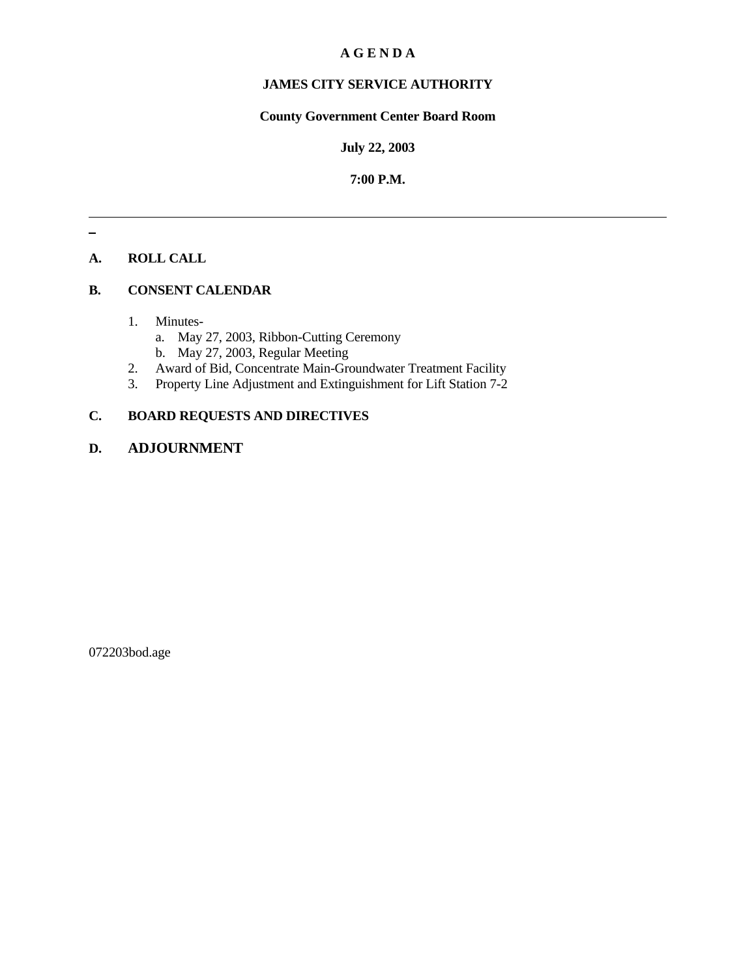#### **A G E N D A**

# **JAMES CITY SERVICE AUTHORITY**

## **County Government Center Board Room**

#### **July 22, 2003**

#### **7:00 P.M.**

## **A. ROLL CALL**

#### **B. CONSENT CALENDAR**

- 1. Minutes
	- a. May 27, 2003, Ribbon-Cutting Ceremony
	- b. May 27, 2003, Regular Meeting
- 2. Award of Bid, Concentrate Main-Groundwater Treatment Facility
- 3. Property Line Adjustment and Extinguishment for Lift Station 7-2

# **C. BOARD REQUESTS AND DIRECTIVES**

# **D. ADJOURNMENT**

072203bod.age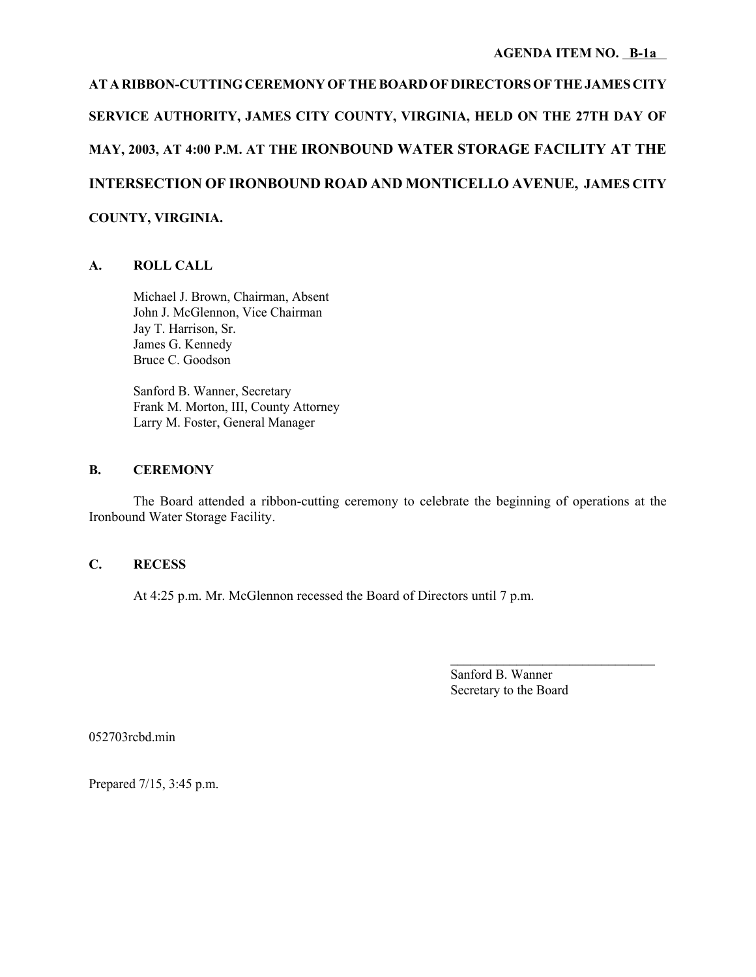**AT A RIBBON-CUTTING CEREMONY OF THE BOARD OF DIRECTORS OF THE JAMES CITY SERVICE AUTHORITY, JAMES CITY COUNTY, VIRGINIA, HELD ON THE 27TH DAY OF MAY, 2003, AT 4:00 P.M. AT THE IRONBOUND WATER STORAGE FACILITY AT THE INTERSECTION OF IRONBOUND ROAD AND MONTICELLO AVENUE, JAMES CITY COUNTY, VIRGINIA.**

## **A. ROLL CALL**

Michael J. Brown, Chairman, Absent John J. McGlennon, Vice Chairman Jay T. Harrison, Sr. James G. Kennedy Bruce C. Goodson

Sanford B. Wanner, Secretary Frank M. Morton, III, County Attorney Larry M. Foster, General Manager

#### **B. CEREMONY**

The Board attended a ribbon-cutting ceremony to celebrate the beginning of operations at the Ironbound Water Storage Facility.

## **C. RECESS**

At 4:25 p.m. Mr. McGlennon recessed the Board of Directors until 7 p.m.

Sanford B. Wanner Secretary to the Board

052703rcbd.min

Prepared 7/15, 3:45 p.m.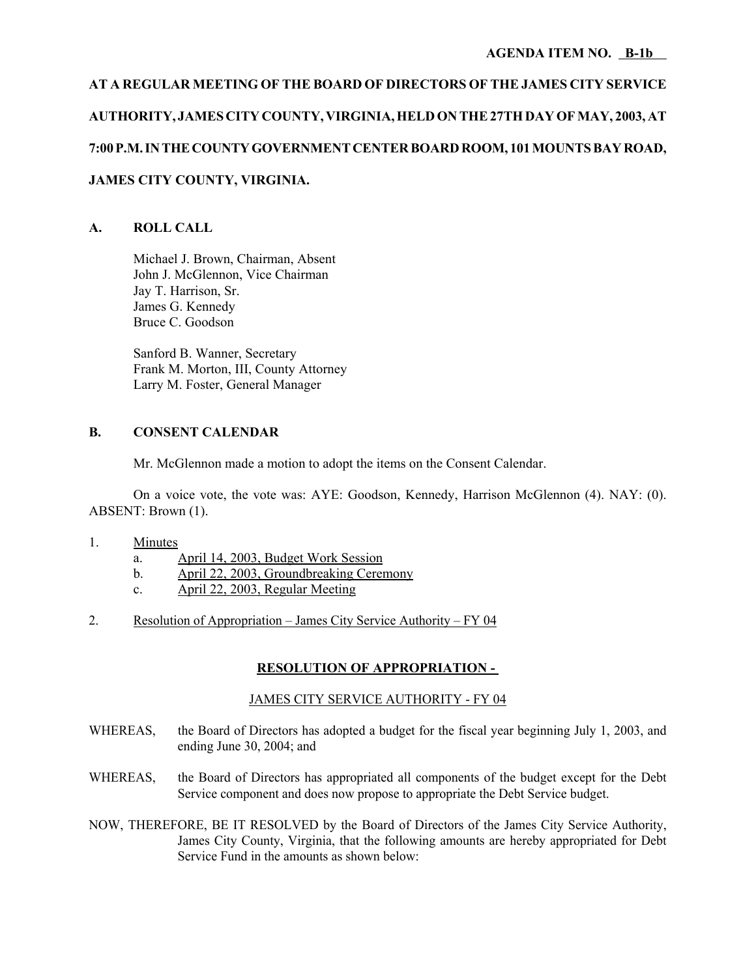# **AT A REGULAR MEETING OF THE BOARD OF DIRECTORS OF THE JAMES CITY SERVICE AUTHORITY, JAMES CITY COUNTY, VIRGINIA, HELD ON THE 27TH DAY OF MAY, 2003, AT 7:00 P.M. IN THE COUNTY GOVERNMENT CENTER BOARD ROOM, 101 MOUNTS BAY ROAD, JAMES CITY COUNTY, VIRGINIA.**

## **A. ROLL CALL**

Michael J. Brown, Chairman, Absent John J. McGlennon, Vice Chairman Jay T. Harrison, Sr. James G. Kennedy Bruce C. Goodson

Sanford B. Wanner, Secretary Frank M. Morton, III, County Attorney Larry M. Foster, General Manager

#### **B. CONSENT CALENDAR**

Mr. McGlennon made a motion to adopt the items on the Consent Calendar.

On a voice vote, the vote was: AYE: Goodson, Kennedy, Harrison McGlennon (4). NAY: (0). ABSENT: Brown (1).

- 1. Minutes
	- a. April 14, 2003, Budget Work Session
	- b. April 22, 2003, Groundbreaking Ceremony
	- c. April 22, 2003, Regular Meeting
- 2. Resolution of Appropriation James City Service Authority FY 04

#### **RESOLUTION OF APPROPRIATION -**

#### JAMES CITY SERVICE AUTHORITY - FY 04

- WHEREAS, the Board of Directors has adopted a budget for the fiscal year beginning July 1, 2003, and ending June 30, 2004; and
- WHEREAS, the Board of Directors has appropriated all components of the budget except for the Debt Service component and does now propose to appropriate the Debt Service budget.
- NOW, THEREFORE, BE IT RESOLVED by the Board of Directors of the James City Service Authority, James City County, Virginia, that the following amounts are hereby appropriated for Debt Service Fund in the amounts as shown below: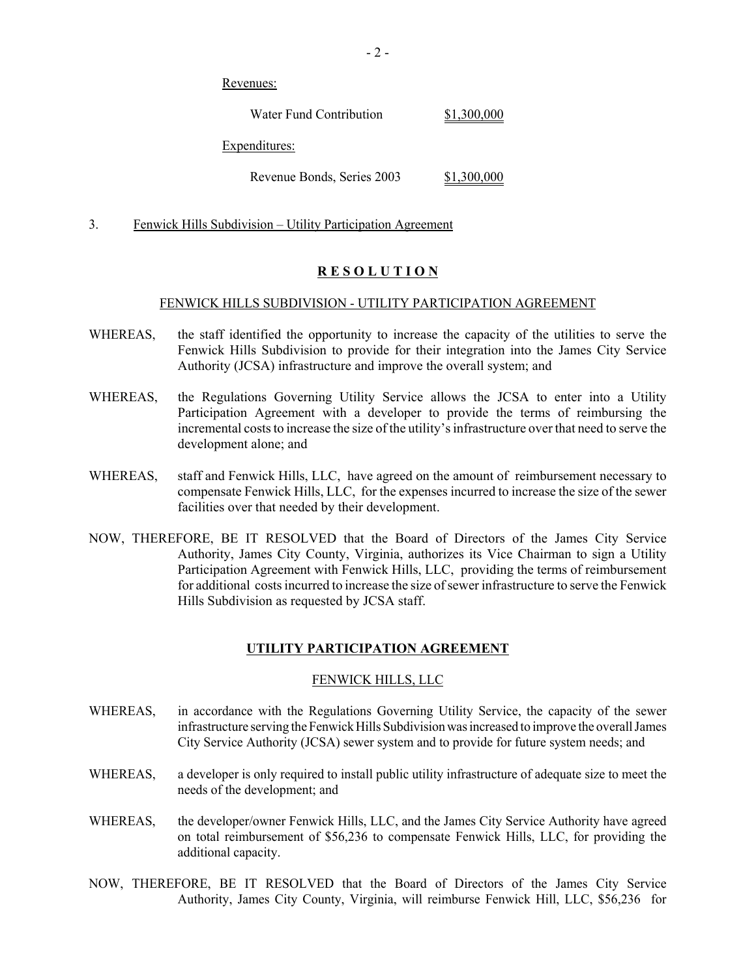Revenues:

Water Fund Contribution \$1,300,000

Expenditures:

Revenue Bonds, Series 2003 \$1,300,000

3. Fenwick Hills Subdivision – Utility Participation Agreement

# **R E S O L U T I O N**

#### FENWICK HILLS SUBDIVISION - UTILITY PARTICIPATION AGREEMENT

- WHEREAS, the staff identified the opportunity to increase the capacity of the utilities to serve the Fenwick Hills Subdivision to provide for their integration into the James City Service Authority (JCSA) infrastructure and improve the overall system; and
- WHEREAS, the Regulations Governing Utility Service allows the JCSA to enter into a Utility Participation Agreement with a developer to provide the terms of reimbursing the incremental costs to increase the size of the utility's infrastructure over that need to serve the development alone; and
- WHEREAS, staff and Fenwick Hills, LLC, have agreed on the amount of reimbursement necessary to compensate Fenwick Hills, LLC, for the expenses incurred to increase the size of the sewer facilities over that needed by their development.
- NOW, THEREFORE, BE IT RESOLVED that the Board of Directors of the James City Service Authority, James City County, Virginia, authorizes its Vice Chairman to sign a Utility Participation Agreement with Fenwick Hills, LLC, providing the terms of reimbursement for additional costs incurred to increase the size of sewer infrastructure to serve the Fenwick Hills Subdivision as requested by JCSA staff.

## **UTILITY PARTICIPATION AGREEMENT**

#### FENWICK HILLS, LLC

- WHEREAS, in accordance with the Regulations Governing Utility Service, the capacity of the sewer infrastructure serving the Fenwick Hills Subdivision was increased to improve the overall James City Service Authority (JCSA) sewer system and to provide for future system needs; and
- WHEREAS, a developer is only required to install public utility infrastructure of adequate size to meet the needs of the development; and
- WHEREAS, the developer/owner Fenwick Hills, LLC, and the James City Service Authority have agreed on total reimbursement of \$56,236 to compensate Fenwick Hills, LLC, for providing the additional capacity.
- NOW, THEREFORE, BE IT RESOLVED that the Board of Directors of the James City Service Authority, James City County, Virginia, will reimburse Fenwick Hill, LLC, \$56,236 for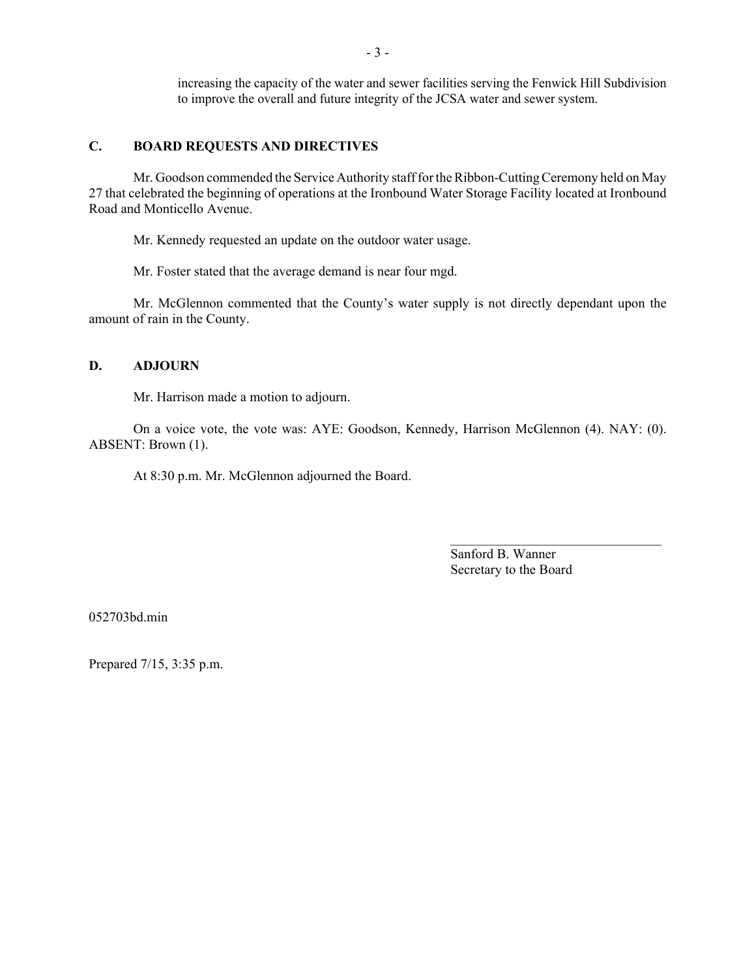increasing the capacity of the water and sewer facilities serving the Fenwick Hill Subdivision to improve the overall and future integrity of the JCSA water and sewer system.

#### **C. BOARD REQUESTS AND DIRECTIVES**

Mr. Goodson commended the Service Authority staff for the Ribbon-Cutting Ceremony held on May 27 that celebrated the beginning of operations at the Ironbound Water Storage Facility located at Ironbound Road and Monticello Avenue.

Mr. Kennedy requested an update on the outdoor water usage.

Mr. Foster stated that the average demand is near four mgd.

Mr. McGlennon commented that the County's water supply is not directly dependant upon the amount of rain in the County.

#### **D. ADJOURN**

Mr. Harrison made a motion to adjourn.

On a voice vote, the vote was: AYE: Goodson, Kennedy, Harrison McGlennon (4). NAY: (0). ABSENT: Brown (1).

At 8:30 p.m. Mr. McGlennon adjourned the Board.

Sanford B. Wanner Secretary to the Board

 $\mathcal{L}_\text{max}$ 

052703bd.min

Prepared 7/15, 3:35 p.m.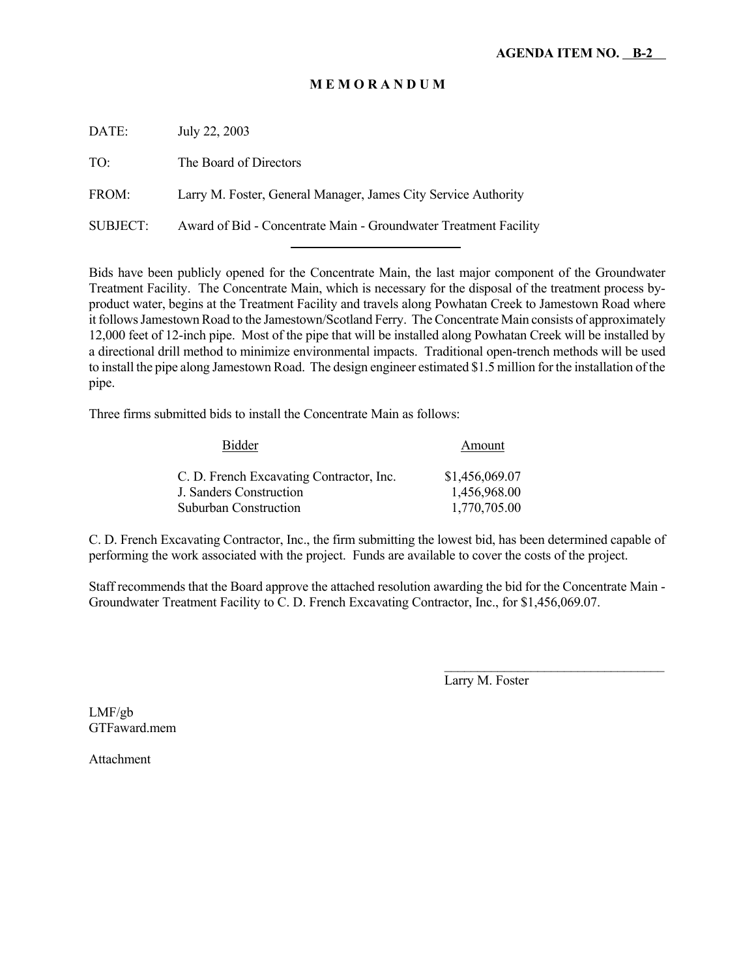## **M E M O R A N D U M**

DATE: July 22, 2003 TO: The Board of Directors FROM: Larry M. Foster, General Manager, James City Service Authority SUBJECT: Award of Bid - Concentrate Main - Groundwater Treatment Facility

l

Bids have been publicly opened for the Concentrate Main, the last major component of the Groundwater Treatment Facility. The Concentrate Main, which is necessary for the disposal of the treatment process byproduct water, begins at the Treatment Facility and travels along Powhatan Creek to Jamestown Road where it follows Jamestown Road to the Jamestown/Scotland Ferry. The Concentrate Main consists of approximately 12,000 feet of 12-inch pipe. Most of the pipe that will be installed along Powhatan Creek will be installed by a directional drill method to minimize environmental impacts. Traditional open-trench methods will be used to install the pipe along Jamestown Road. The design engineer estimated \$1.5 million for the installation of the pipe.

Three firms submitted bids to install the Concentrate Main as follows:

| Bidder                                   | Amount         |
|------------------------------------------|----------------|
| C. D. French Excavating Contractor, Inc. | \$1,456,069.07 |
| <b>J. Sanders Construction</b>           | 1,456,968.00   |
| <b>Suburban Construction</b>             | 1,770,705.00   |

C. D. French Excavating Contractor, Inc., the firm submitting the lowest bid, has been determined capable of performing the work associated with the project. Funds are available to cover the costs of the project.

Staff recommends that the Board approve the attached resolution awarding the bid for the Concentrate Main - Groundwater Treatment Facility to C. D. French Excavating Contractor, Inc., for \$1,456,069.07.

Larry M. Foster

LMF/gb GTFaward.mem

Attachment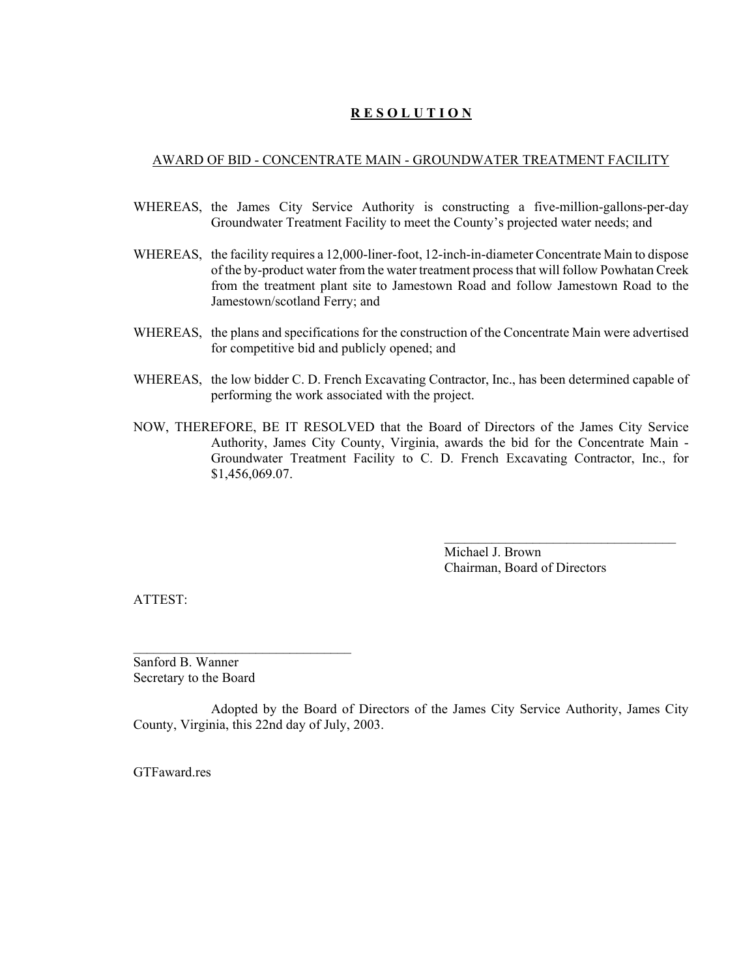# **R E S O L U T I O N**

#### AWARD OF BID - CONCENTRATE MAIN - GROUNDWATER TREATMENT FACILITY

- WHEREAS, the James City Service Authority is constructing a five-million-gallons-per-day Groundwater Treatment Facility to meet the County's projected water needs; and
- WHEREAS, the facility requires a 12,000-liner-foot, 12-inch-in-diameter Concentrate Main to dispose of the by-product water from the water treatment process that will follow Powhatan Creek from the treatment plant site to Jamestown Road and follow Jamestown Road to the Jamestown/scotland Ferry; and
- WHEREAS, the plans and specifications for the construction of the Concentrate Main were advertised for competitive bid and publicly opened; and
- WHEREAS, the low bidder C. D. French Excavating Contractor, Inc., has been determined capable of performing the work associated with the project.
- NOW, THEREFORE, BE IT RESOLVED that the Board of Directors of the James City Service Authority, James City County, Virginia, awards the bid for the Concentrate Main - Groundwater Treatment Facility to C. D. French Excavating Contractor, Inc., for \$1,456,069.07.

Michael J. Brown Chairman, Board of Directors

 $\mathcal{L}_\text{max}$ 

ATTEST:

Sanford B. Wanner Secretary to the Board

Adopted by the Board of Directors of the James City Service Authority, James City County, Virginia, this 22nd day of July, 2003.

GTFaward res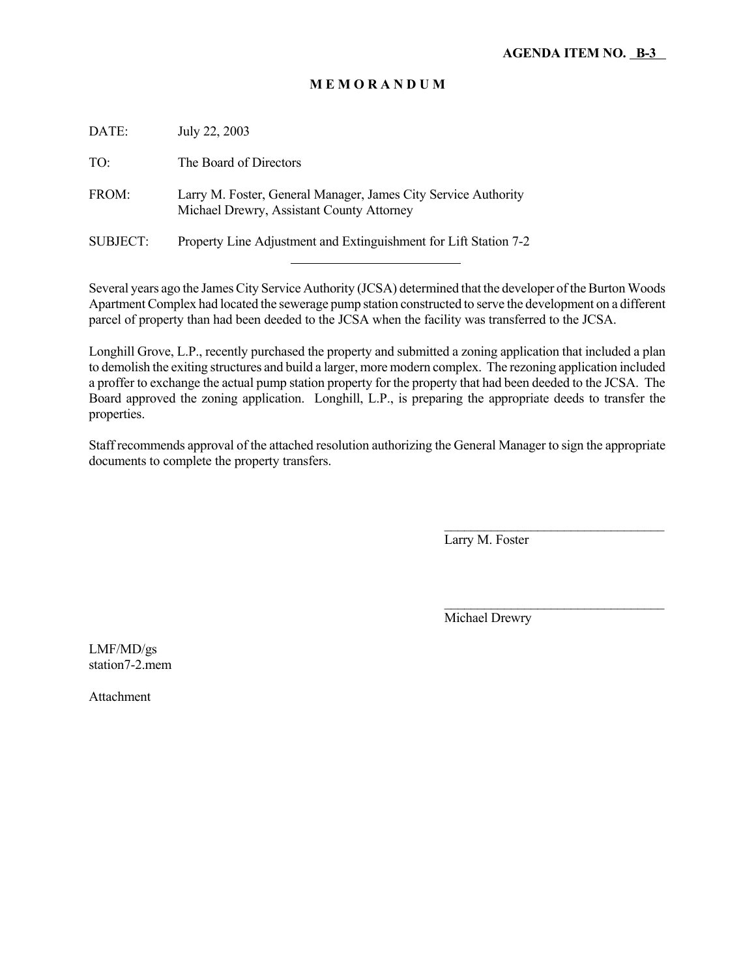## **M E M O R A N D U M**

| DATE:           | July 22, 2003                                                                                               |
|-----------------|-------------------------------------------------------------------------------------------------------------|
| TO:             | The Board of Directors                                                                                      |
| FROM:           | Larry M. Foster, General Manager, James City Service Authority<br>Michael Drewry, Assistant County Attorney |
| <b>SUBJECT:</b> | Property Line Adjustment and Extinguishment for Lift Station 7-2                                            |
|                 |                                                                                                             |

Several years ago the James City Service Authority (JCSA) determined that the developer of the Burton Woods Apartment Complex had located the sewerage pump station constructed to serve the development on a different parcel of property than had been deeded to the JCSA when the facility was transferred to the JCSA.

Longhill Grove, L.P., recently purchased the property and submitted a zoning application that included a plan to demolish the exiting structures and build a larger, more modern complex. The rezoning application included a proffer to exchange the actual pump station property for the property that had been deeded to the JCSA. The Board approved the zoning application. Longhill, L.P., is preparing the appropriate deeds to transfer the properties.

Staff recommends approval of the attached resolution authorizing the General Manager to sign the appropriate documents to complete the property transfers.

Larry M. Foster

 $\mathcal{L}_\text{max}$ 

 $\mathcal{L}_\text{max}$ 

Michael Drewry

LMF/MD/gs station7-2.mem

Attachment